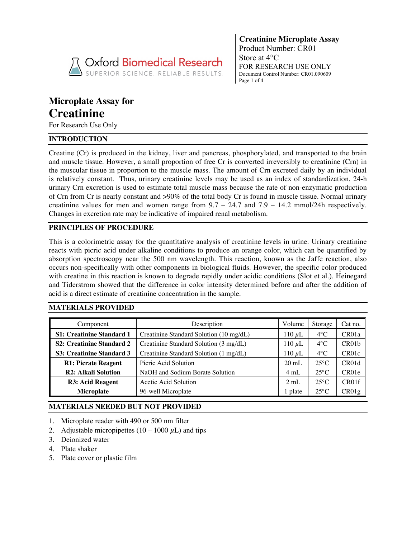

**Creatinine Microplate Assay** Product Number: CR01 Store at 4°C FOR RESEARCH USE ONLY Document Control Number: CR01.090609 Page 1 of 4

# **Microplate Assay for Creatinine**

For Research Use Only

# **INTRODUCTION**

Creatine (Cr) is produced in the kidney, liver and pancreas, phosphorylated, and transported to the brain and muscle tissue. However, a small proportion of free Cr is converted irreversibly to creatinine (Crn) in the muscular tissue in proportion to the muscle mass. The amount of Crn excreted daily by an individual is relatively constant. Thus, urinary creatinine levels may be used as an index of standardization. 24-h urinary Crn excretion is used to estimate total muscle mass because the rate of non-enzymatic production of Crn from Cr is nearly constant and >90% of the total body Cr is found in muscle tissue. Normal urinary creatinine values for men and women range from  $9.7 - 24.7$  and  $7.9 - 14.2$  mmol/24h respectively. Changes in excretion rate may be indicative of impaired renal metabolism.

# **PRINCIPLES OF PROCEDURE**

This is a colorimetric assay for the quantitative analysis of creatinine levels in urine. Urinary creatinine reacts with picric acid under alkaline conditions to produce an orange color, which can be quantified by absorption spectroscopy near the 500 nm wavelength. This reaction, known as the Jaffe reaction, also occurs non-specifically with other components in biological fluids. However, the specific color produced with creatine in this reaction is known to degrade rapidly under acidic conditions (Slot et al.). Heinegard and Tiderstrom showed that the difference in color intensity determined before and after the addition of acid is a direct estimate of creatinine concentration in the sample.

# **MATERIALS PROVIDED**

| Component                        | Description                             | Volume          | Storage        | Cat no.            |
|----------------------------------|-----------------------------------------|-----------------|----------------|--------------------|
| <b>S1: Creatinine Standard 1</b> | Creatinine Standard Solution (10 mg/dL) | 110 $\mu$ L     | $4^{\circ}$ C  | CR01a              |
| <b>S2: Creatinine Standard 2</b> | Creatinine Standard Solution (3 mg/dL)  | 110 $\mu$ L     | $4^{\circ}$ C  | CR01b              |
| <b>S3: Creatinine Standard 3</b> | Creatinine Standard Solution (1 mg/dL)  | 110 $\mu$ L     | $4^{\circ}$ C  | CR <sub>01</sub> c |
| <b>R1: Picrate Reagent</b>       | Picric Acid Solution                    | $20 \text{ mL}$ | $25^{\circ}$ C | CR01d              |
| <b>R2: Alkali Solution</b>       | NaOH and Sodium Borate Solution         | 4 mL            | $25^{\circ}$ C | CR01e              |
| R3: Acid Reagent                 | Acetic Acid Solution                    | $2 \text{ mL}$  | $25^{\circ}$ C | CR01f              |
| <b>Microplate</b>                | 96-well Microplate                      | 1 plate         | $25^{\circ}$ C | CR01g              |

# **MATERIALS NEEDED BUT NOT PROVIDED**

- 1. Microplate reader with 490 or 500 nm filter
- 2. Adjustable micropipettes  $(10 1000 \mu L)$  and tips
- 3. Deionized water
- 4. Plate shaker
- 5. Plate cover or plastic film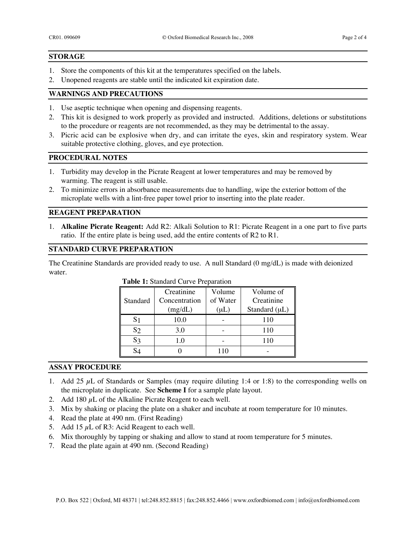#### **STORAGE**

- 1. Store the components of this kit at the temperatures specified on the labels.
- 2. Unopened reagents are stable until the indicated kit expiration date.

## **WARNINGS AND PRECAUTIONS**

- 1. Use aseptic technique when opening and dispensing reagents.
- 2. This kit is designed to work properly as provided and instructed. Additions, deletions or substitutions to the procedure or reagents are not recommended, as they may be detrimental to the assay.
- 3. Picric acid can be explosive when dry, and can irritate the eyes, skin and respiratory system. Wear suitable protective clothing, gloves, and eye protection.

#### **PROCEDURAL NOTES**

- 1. Turbidity may develop in the Picrate Reagent at lower temperatures and may be removed by warming. The reagent is still usable.
- 2. To minimize errors in absorbance measurements due to handling, wipe the exterior bottom of the microplate wells with a lint-free paper towel prior to inserting into the plate reader.

## **REAGENT PREPARATION**

1. **Alkaline Picrate Reagent:** Add R2: Alkali Solution to R1: Picrate Reagent in a one part to five parts ratio. If the entire plate is being used, add the entire contents of R2 to R1.

## **STANDARD CURVE PREPARATION**

The Creatinine Standards are provided ready to use. A null Standard (0 mg/dL) is made with deionized water.

| Standard       | Creatinine<br>Concentration<br>(mg/dL) | Volume<br>of Water<br>$(\mu L)$ | Volume of<br>Creatinine<br>Standard $(\mu L)$ |
|----------------|----------------------------------------|---------------------------------|-----------------------------------------------|
| S1             | 10.0                                   |                                 | 110                                           |
| S <sub>2</sub> | 3.0                                    |                                 | 110                                           |
| $S_3$          | 1.0                                    |                                 | 110                                           |
| C.             |                                        | 110                             |                                               |

#### **Table 1:** Standard Curve Preparation

### **ASSAY PROCEDURE**

- 1. Add 25  $\mu$ L of Standards or Samples (may require diluting 1:4 or 1:8) to the corresponding wells on the microplate in duplicate. See **Scheme I** for a sample plate layout.
- 2. Add 180  $\mu$ L of the Alkaline Picrate Reagent to each well.
- 3. Mix by shaking or placing the plate on a shaker and incubate at room temperature for 10 minutes.
- 4. Read the plate at 490 nm. (First Reading)
- 5. Add 15  $\mu$ L of R3: Acid Reagent to each well.
- 6. Mix thoroughly by tapping or shaking and allow to stand at room temperature for 5 minutes.
- 7. Read the plate again at 490 nm. (Second Reading)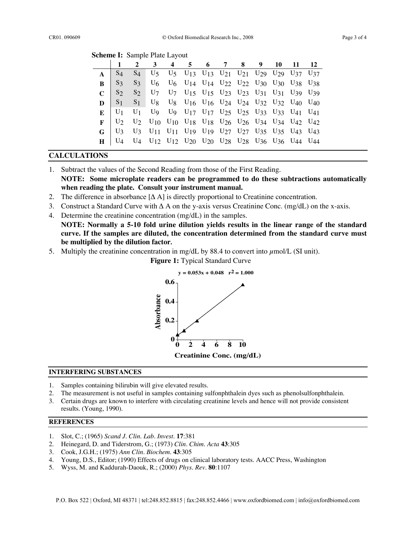|  |  | <b>Scheme I: Sample Plate Layout</b> |
|--|--|--------------------------------------|
|--|--|--------------------------------------|

|              | 2 3 4 5 6 7 8 9 10 11 12                                                                                                                                                                                                 |  |  |  |  |  |
|--------------|--------------------------------------------------------------------------------------------------------------------------------------------------------------------------------------------------------------------------|--|--|--|--|--|
| $A \mid S_4$ | S <sub>4</sub> U <sub>5</sub> U <sub>5</sub> U <sub>13</sub> U <sub>13</sub> U <sub>21</sub> U <sub>21</sub> U <sub>29</sub> U <sub>29</sub> U <sub>29</sub> U <sub>37</sub> U <sub>37</sub>                             |  |  |  |  |  |
| $B \mid S_3$ | S <sub>3</sub> U <sub>6</sub> U <sub>6</sub> U <sub>14</sub> U <sub>14</sub> U <sub>22</sub> U <sub>22</sub> U <sub>30</sub> U <sub>30</sub> U <sub>38</sub> U <sub>38</sub>                                             |  |  |  |  |  |
|              | $C$   $S_2$ $S_2$   $U_7$ $U_7$ $U_{15}$ $U_{15}$ $U_{23}$ $U_{23}$ $U_{31}$ $U_{31}$ $U_{39}$ $U_{39}$                                                                                                                  |  |  |  |  |  |
|              | $D$ $S_1$ $S_1$ $U_8$ $U_8$ $U_{16}$ $U_{16}$ $U_{24}$ $U_{24}$ $U_{32}$ $U_{32}$ $U_{40}$ $U_{40}$                                                                                                                      |  |  |  |  |  |
|              | $E$   U <sub>1</sub> U <sub>1</sub> U <sub>9</sub> U <sub>9</sub> U <sub>17</sub> U <sub>17</sub> U <sub>17</sub> U <sub>25</sub> U <sub>25</sub> U <sub>33</sub> U <sub>33</sub> U <sub>41</sub> U <sub>41</sub>        |  |  |  |  |  |
|              | $\mathbf{F}$ $\begin{bmatrix} U_2 & U_2 & U_{10} & U_{10} & U_{18} & U_{18} & U_{26} & U_{26} & U_{34} & U_{34} & U_{42} & U_{42} \end{bmatrix}$                                                                         |  |  |  |  |  |
|              | <b>G</b>   U <sub>3</sub> U <sub>3</sub> U <sub>11</sub> U <sub>11</sub> U <sub>19</sub> U <sub>19</sub> U <sub>27</sub> U <sub>27</sub> U <sub>27</sub> U <sub>35</sub> U <sub>35</sub> U <sub>43</sub> U <sub>43</sub> |  |  |  |  |  |
|              | $H$ U <sub>4</sub> U <sub>4</sub> U <sub>12</sub> U <sub>12</sub> U <sub>20</sub> U <sub>20</sub> U <sub>28</sub> U <sub>28</sub> U <sub>36</sub> U <sub>36</sub> U <sub>44</sub> U <sub>44</sub>                        |  |  |  |  |  |

## **CALCULATIONS**

1. Subtract the values of the Second Reading from those of the First Reading.

**NOTE: Some microplate readers can be programmed to do these subtractions automatically when reading the plate. Consult your instrument manual.**

- 2. The difference in absorbance  $[\Delta A]$  is directly proportional to Creatinine concentration.
- 3. Construct a Standard Curve with ∆ A on the y-axis versus Creatinine Conc. (mg/dL) on the x-axis.
- 4. Determine the creatinine concentration (mg/dL) in the samples. **NOTE: Normally a 5-10 fold urine dilution yields results in the linear range of the standard curve. If the samples are diluted, the concentration determined from the standard curve must be multiplied by the dilution factor***.*
- 5. Multiply the creatinine concentration in mg/dL by 88.4 to convert into  $\mu$ mol/L (SI unit).

 **Figure 1:** Typical Standard Curve



#### **INTERFERING SUBSTANCES**

- 1. Samples containing bilirubin will give elevated results.
- 2. The measurement is not useful in samples containing sulfonphthalein dyes such as phenolsulfonphthalein.
- 3. Certain drugs are known to interfere with circulating creatinine levels and hence will not provide consistent results. (Young, 1990).

#### **REFERENCES**

- 1. Slot, C.; (1965) *Scand J. Clin. Lab. Invest.* **17**:381
- 2. Heinegard, D. and Tiderstrom, G.; (1973) *Clin. Chim. Acta* **43**:305
- 3. Cook, J.G.H.; (1975) *Ann Clin. Biochem*. **43**:305
- 4. Young, D.S., Editor; (1990) Effects of drugs on clinical laboratory tests. AACC Press, Washington
- 5. Wyss, M. and Kaddurah-Daouk, R.; (2000) *Phys. Rev.* **80**:1107